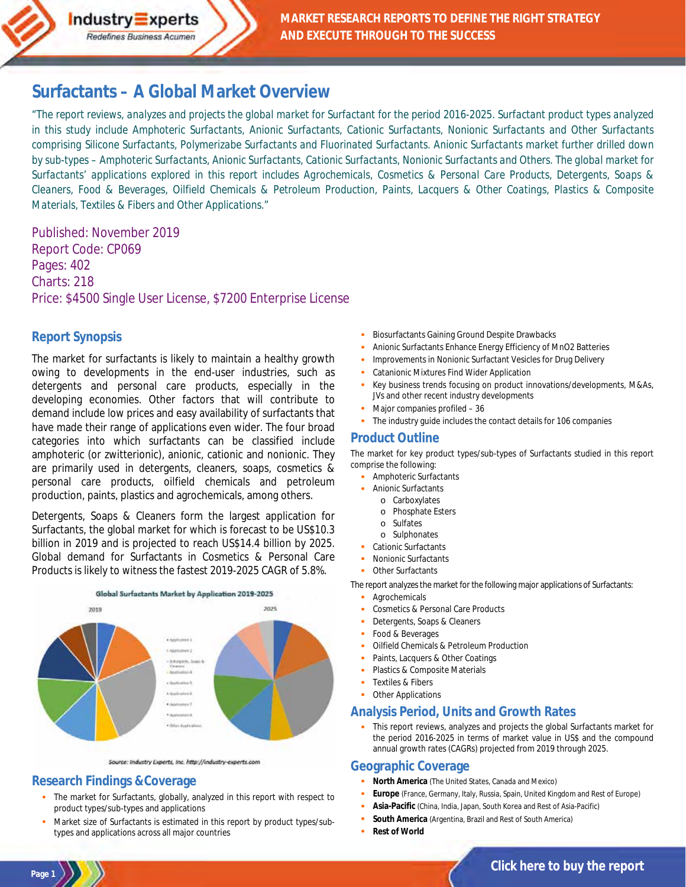# **[Surfactants – A Global Market Overview](http://industry-experts.com/verticals/chemicals-and-materials/surfactants-a-global-market-overview)**

*"The report reviews, analyzes and projects the global market for Surfactant for the period 2016-2025. Surfactant product types analyzed in this study include Amphoteric Surfactants, Anionic Surfactants, Cationic Surfactants, Nonionic Surfactants and Other Surfactants comprising Silicone Surfactants, Polymerizabe Surfactants and Fluorinated Surfactants. Anionic Surfactants market further drilled down by sub-types – Amphoteric Surfactants, Anionic Surfactants, Cationic Surfactants, Nonionic Surfactants and Others. The global market for Surfactants' applications explored in this report includes Agrochemicals, Cosmetics & Personal Care Products, Detergents, Soaps & Cleaners, Food & Beverages, Oilfield Chemicals & Petroleum Production, Paints, Lacquers & Other Coatings, Plastics & Composite Materials, Textiles & Fibers and Other Applications."* 

Published: November 2019 Report Code: CP069 Pages: 402 Charts: 218 Price: \$4500 Single User License, \$7200 Enterprise License

### **Report Synopsis**

The market for surfactants is likely to maintain a healthy growth owing to developments in the end-user industries, such as detergents and personal care products, especially in the developing economies. Other factors that will contribute to demand include low prices and easy availability of surfactants that have made their range of applications even wider. The four broad categories into which surfactants can be classified include amphoteric (or zwitterionic), anionic, cationic and nonionic. They are primarily used in detergents, cleaners, soaps, cosmetics & personal care products, oilfield chemicals and petroleum production, paints, plastics and agrochemicals, among others.

Detergents, Soaps & Cleaners form the largest application for Surfactants, the global market for which is forecast to be US\$10.3 billion in 2019 and is projected to reach US\$14.4 billion by 2025. Global demand for Surfactants in Cosmetics & Personal Care Products is likely to witness the fastest 2019-2025 CAGR of 5.8%.



Source: Industry Experts, Inc. http://industry-experts.com

### **Research Findings &Coverage**

- · The market for Surfactants, globally, analyzed in this report with respect to product types/sub-types and applications
- Market size of Surfactants is estimated in this report by product types/subtypes and applications across all major countries
- Biosurfactants Gaining Ground Despite Drawbacks
- · Anionic Surfactants Enhance Energy Efficiency of MnO2 Batteries
- · Improvements in Nonionic Surfactant Vesicles for Drug Delivery
- Catanionic Mixtures Find Wider Application
- Key business trends focusing on product innovations/developments, M&As, JVs and other recent industry developments
- Major companies profiled 36
- The industry quide includes the contact details for 106 companies

### **Product Outline**

The market for key product types/sub-types of Surfactants studied in this report comprise the following:

- · Amphoteric Surfactants
- · Anionic Surfactants
- o Carboxylates
	- o Phosphate Esters
- o Sulfates
- o Sulphonates
- Cationic Surfactants
- · Nonionic Surfactants
- Other Surfactants

The report analyzes the market for the following major applications of Surfactants:

- **Agrochemicals**
- Cosmetics & Personal Care Products
- Detergents, Soaps & Cleaners
- Food & Beverages
- · Oilfield Chemicals & Petroleum Production
- Paints, Lacquers & Other Coatings
- Plastics & Composite Materials
- Textiles & Fibers
- **Other Applications**

### **Analysis Period, Units and Growth Rates**

This report reviews, analyzes and projects the global Surfactants market for the period 2016-2025 in terms of market value in US\$ and the compound annual growth rates (CAGRs) projected from 2019 through 2025.

#### **Geographic Coverage**

- · **North America** (The United States, Canada and Mexico)
- · **Europe** (France, Germany, Italy, Russia, Spain, United Kingdom and Rest of Europe)
- · **Asia-Pacific** (China, India, Japan, South Korea and Rest of Asia-Pacific)
- South America (Argentina, Brazil and Rest of South America)
- **Rest of World**

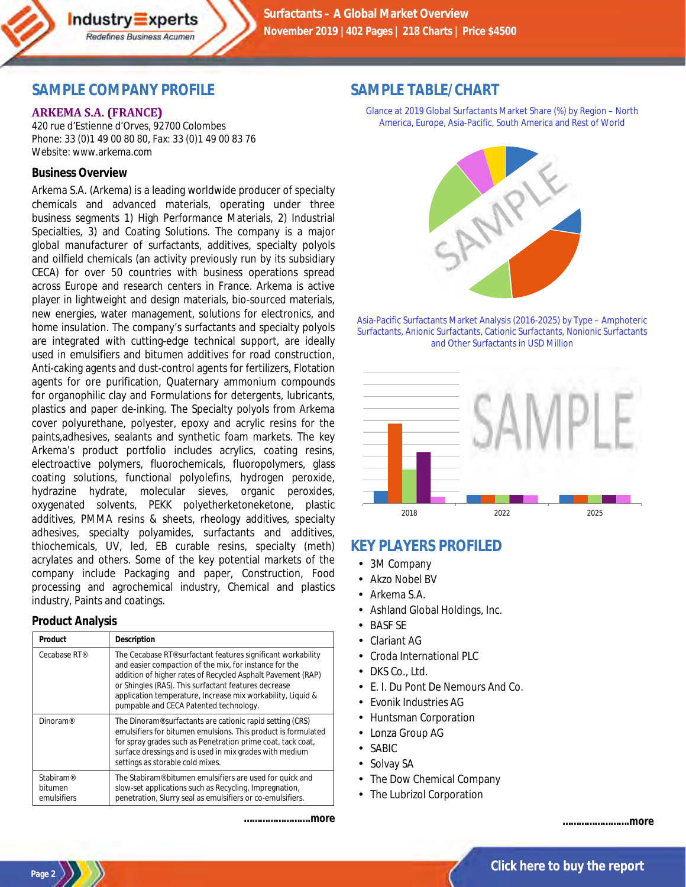# **SAMPLE COMPANY PROFILE**

Industry Experts Redefines Business Acumen

#### **ARKEMA S.A. (FRANCE))**

420 rue d'Estienne d'Orves, 92700 Colombes Phone: 33 (0)1 49 00 80 80, Fax: 33 (0)1 49 00 83 76 Website: www.arkema.com

#### **Business Overview**

Arkema S.A. (Arkema) is a leading worldwide producer of specialty chemicals and advanced materials, operating under three business segments 1) High Performance Materials, 2) Industrial Specialties, 3) and Coating Solutions. The company is a major global manufacturer of surfactants, additives, specialty polyols and oilfield chemicals (an activity previously run by its subsidiary CECA) for over 50 countries with business operations spread across Europe and research centers in France. Arkema is active player in lightweight and design materials, bio-sourced materials, new energies, water management, solutions for electronics, and home insulation. The company's surfactants and specialty polyols are integrated with cutting-edge technical support, are ideally used in emulsifiers and bitumen additives for road construction, Anti-caking agents and dust-control agents for fertilizers, Flotation agents for ore purification, Quaternary ammonium compounds for organophilic clay and Formulations for detergents, lubricants, plastics and paper de-inking. The Specialty polyols from Arkema cover polyurethane, polyester, epoxy and acrylic resins for the paints,adhesives, sealants and synthetic foam markets. The key Arkema's product portfolio includes acrylics, coating resins, electroactive polymers, fluorochemicals, fluoropolymers, glass coating solutions, functional polyolefins, hydrogen peroxide, hydrazine hydrate, molecular sieves, organic peroxides, oxygenated solvents, PEKK polyetherketoneketone, plastic additives, PMMA resins & sheets, rheology additives, specialty adhesives, specialty polyamides, surfactants and additives, thiochemicals, UV, led, EB curable resins, specialty (meth) acrylates and others. Some of the key potential markets of the company include Packaging and paper, Construction, Food processing and agrochemical industry, Chemical and plastics industry, Paints and coatings.

#### **Product Analysis**

| Product                                         | Description                                                                                                                                                                                                                                                                                                                                            |
|-------------------------------------------------|--------------------------------------------------------------------------------------------------------------------------------------------------------------------------------------------------------------------------------------------------------------------------------------------------------------------------------------------------------|
| Cecabase RT®                                    | The Cecabase RT® surfactant features significant workability<br>and easier compaction of the mix, for instance for the<br>addition of higher rates of Recycled Asphalt Pavement (RAP)<br>or Shingles (RAS). This surfactant features decrease<br>application temperature, Increase mix workability, Liquid &<br>pumpable and CECA Patented technology. |
| Dinoram <sup>®</sup>                            | The Dinoram <sup>®</sup> surfactants are cationic rapid setting (CRS)<br>emulsifiers for bitumen emulsions. This product is formulated<br>for spray grades such as Penetration prime coat, tack coat,<br>surface dressings and is used in mix grades with medium<br>settings as storable cold mixes.                                                   |
| Stabiram <sup>®</sup><br>bitumen<br>emulsifiers | The Stabiram® bitumen emulsifiers are used for quick and<br>slow-set applications such as Recycling, Impregnation,<br>penetration, Slurry seal as emulsifiers or co-emulsifiers.                                                                                                                                                                       |

*…………………….more*

## **SAMPLE TABLE/CHART**

Glance at 2019 Global Surfactants Market Share (%) by Region – North America, Europe, Asia-Pacific, South America and Rest of World



Asia-Pacific Surfactants Market Analysis (2016-2025) by Type – Amphoteric Surfactants, Anionic Surfactants, Cationic Surfactants, Nonionic Surfactants and Other Surfactants in USD Million



# **KEY PLAYERS PROFILED**

- $\mathbf{r}$ 3M Company
- Akzo Nobel BV
- Arkema S.A.
- Ashland Global Holdings, Inc.
- BASF SE
- Clariant AG
- Croda International PLC
- DKS Co., Ltd.
- E. I. Du Pont De Nemours And Co.
- Evonik Industries AG
- Huntsman Corporation
- Lonza Group AG
- . SABIC
- Solvay SA L.
- The Dow Chemical Company
- The Lubrizol Corporation

*…………………….more*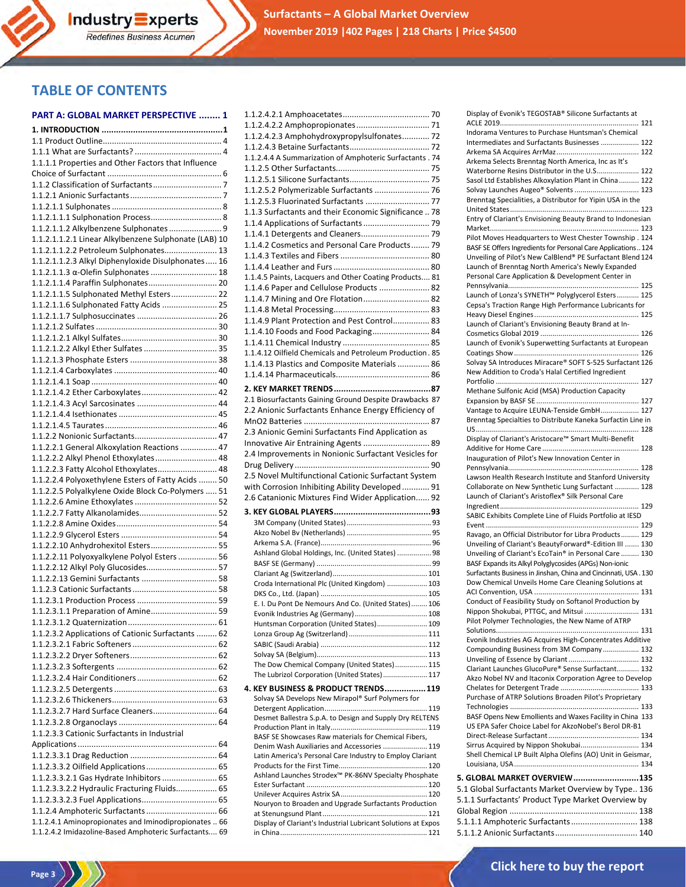# **TABLE OF CONTENTS**

#### **PART A: GLOBAL MARKET PERSPECTIVE ........ 1**

| 1.1.1.1 Properties and Other Factors that Influence                                   |  |
|---------------------------------------------------------------------------------------|--|
|                                                                                       |  |
|                                                                                       |  |
|                                                                                       |  |
|                                                                                       |  |
| 1.1.2.1.1.1 Sulphonation Process 8                                                    |  |
| 1.1.2.1.1.2 Alkylbenzene Sulphonates  9                                               |  |
| 1.1.2.1.1.2.1 Linear Alkylbenzene Sulphonate (LAB) 10                                 |  |
| 1.1.2.1.1.2.2 Petroleum Sulphonates 13                                                |  |
| 1.1.2.1.1.2.3 Alkyl Diphenyloxide Disulphonates 16                                    |  |
| 1.1.2.1.1.3 α-Olefin Sulphonates  18                                                  |  |
| 1.1.2.1.1.4 Paraffin Sulphonates 20                                                   |  |
| 1.1.2.1.1.5 Sulphonated Methyl Esters 22                                              |  |
| 1.1.2.1.1.6 Sulphonated Fatty Acids  25                                               |  |
|                                                                                       |  |
|                                                                                       |  |
|                                                                                       |  |
| 1.1.2.1.2.2 Alkyl Ether Sulfates  35                                                  |  |
|                                                                                       |  |
|                                                                                       |  |
|                                                                                       |  |
| 1.1.2.1.4.2 Ether Carboxylates 42                                                     |  |
|                                                                                       |  |
|                                                                                       |  |
|                                                                                       |  |
|                                                                                       |  |
| 1.1.2.2.1 General Alkoxylation Reactions  47<br>1.1.2.2.2 Alkyl Phenol Ethoxylates 48 |  |
| 1.1.2.2.3 Fatty Alcohol Ethoxylates 48                                                |  |
| 1.1.2.2.4 Polyoxethylene Esters of Fatty Acids  50                                    |  |
| 1.1.2.2.5 Polyalkylene Oxide Block Co-Polymers  51                                    |  |
|                                                                                       |  |
| 1.1.2.2.7 Fatty Alkanolamides 52                                                      |  |
|                                                                                       |  |
|                                                                                       |  |
| 1.1.2.2.10 Anhydrohexitol Esters 55                                                   |  |
| 1.1.2.2.11 Polyoxyalkylene Polyol Esters  56                                          |  |
| 1.1.2.2.12 Alkyl Poly Glucosides 57                                                   |  |
| 1.1.2.2.13 Gemini Surfactants  58                                                     |  |
|                                                                                       |  |
|                                                                                       |  |
| 1.1.2.3.1.1 Preparation of Amine 59                                                   |  |
|                                                                                       |  |
| 1.1.2.3.2 Applications of Cationic Surfactants  62                                    |  |
|                                                                                       |  |
|                                                                                       |  |
|                                                                                       |  |
|                                                                                       |  |
|                                                                                       |  |
|                                                                                       |  |
| 1.1.2.3.2.7 Hard Surface Cleaners 64                                                  |  |
|                                                                                       |  |
| 1.1.2.3.3 Cationic Surfactants in Industrial                                          |  |
|                                                                                       |  |
|                                                                                       |  |
|                                                                                       |  |
| 1.1.2.3.3.2.1 Gas Hydrate Inhibitors  65                                              |  |
| 1.1.2.3.3.2.2 Hydraulic Fracturing Fluids 65                                          |  |
|                                                                                       |  |
|                                                                                       |  |
| 1.1.2.4.1 Aminopropionates and Iminodipropionates . 66                                |  |
| 1.1.2.4.2 Imidazoline-Based Amphoteric Surfactants 69                                 |  |

| 1.1.2.4.2.3 Amphohydroxypropylsulfonates 72                   |  |
|---------------------------------------------------------------|--|
|                                                               |  |
| 1.1.2.4.4 A Summarization of Amphoteric Surfactants . 74      |  |
|                                                               |  |
|                                                               |  |
| 1.1.2.5.2 Polymerizable Surfactants  76                       |  |
| 1.1.2.5.3 Fluorinated Surfactants  77                         |  |
| 1.1.3 Surfactants and their Economic Significance  78         |  |
|                                                               |  |
|                                                               |  |
| 1.1.4.2 Cosmetics and Personal Care Products 79               |  |
|                                                               |  |
|                                                               |  |
| 1.1.4.5 Paints, Lacquers and Other Coating Products 81        |  |
| 1.1.4.6 Paper and Cellulose Products  82                      |  |
| 1.1.4.7 Mining and Ore Flotation 82                           |  |
|                                                               |  |
| 1.1.4.9 Plant Protection and Pest Control 83                  |  |
|                                                               |  |
| 1.1.4.10 Foods and Food Packaging 84                          |  |
|                                                               |  |
| 1.1.4.12 Oilfield Chemicals and Petroleum Production. 85      |  |
| 1.1.4.13 Plastics and Composite Materials  86                 |  |
|                                                               |  |
|                                                               |  |
| 2.1 Biosurfactants Gaining Ground Despite Drawbacks 87        |  |
| 2.2 Anionic Surfactants Enhance Energy Efficiency of          |  |
|                                                               |  |
| 2.3 Anionic Gemini Surfactants Find Application as            |  |
| Innovative Air Entraining Agents  89                          |  |
| 2.4 Improvements in Nonionic Surfactant Vesicles for          |  |
|                                                               |  |
|                                                               |  |
|                                                               |  |
| 2.5 Novel Multifunctional Cationic Surfactant System          |  |
| with Corrosion Inhibiting Ability Developed  91               |  |
| 2.6 Catanionic Mixtures Find Wider Application 92             |  |
|                                                               |  |
|                                                               |  |
|                                                               |  |
|                                                               |  |
| Ashland Global Holdings, Inc. (United States)  98             |  |
|                                                               |  |
|                                                               |  |
| Croda International Plc (United Kingdom)  103                 |  |
|                                                               |  |
| E. I. Du Pont De Nemours And Co. (United States) 106          |  |
|                                                               |  |
| Huntsman Corporation (United States) 109                      |  |
|                                                               |  |
|                                                               |  |
|                                                               |  |
| The Dow Chemical Company (United States) 115                  |  |
| The Lubrizol Corporation (United States) 117                  |  |
| 4. KEY BUSINESS & PRODUCT TRENDS 119                          |  |
| Solvay SA Develops New Mirapol® Surf Polymers for             |  |
|                                                               |  |
| Desmet Ballestra S.p.A. to Design and Supply Dry RELTENS      |  |
| BASF SE Showcases Raw materials for Chemical Fibers,          |  |
| Denim Wash Auxiliaries and Accessories  119                   |  |
| Latin America's Personal Care Industry to Employ Clariant     |  |
|                                                               |  |
| Ashland Launches Strodex™ PK-86NV Specialty Phosphate         |  |
|                                                               |  |
|                                                               |  |
| Nouryon to Broaden and Upgrade Surfactants Production         |  |
|                                                               |  |
| Display of Clariant's Industrial Lubricant Solutions at Expos |  |

| Display of Evonik's TEGOSTAB® Silicone Surfactants at                                                  |
|--------------------------------------------------------------------------------------------------------|
|                                                                                                        |
| Indorama Ventures to Purchase Huntsman's Chemical<br>Intermediates and Surfactants Businesses  122     |
|                                                                                                        |
| Arkema Selects Brenntag North America, Inc as It's                                                     |
| Waterborne Resins Distributor in the U.S 122                                                           |
| Sasol Ltd Establishes Alkoxylation Plant in China 122                                                  |
| Solvay Launches Augeo® Solvents  123                                                                   |
| Brenntag Specialities, a Distributor for Yipin USA in the                                              |
| Entry of Clariant's Envisioning Beauty Brand to Indonesian                                             |
|                                                                                                        |
| Pilot Moves Headquarters to West Chester Township . 124                                                |
| BASF SE Offers Ingredients for Personal Care Applications 124                                          |
| Unveiling of Pilot's New CalBlend® PE Surfactant Blend 124                                             |
| Launch of Brenntag North America's Newly Expanded<br>Personal Care Application & Development Center in |
|                                                                                                        |
| Launch of Lonza's SYNETH™ Polyglycerol Esters  125                                                     |
| Cepsa's Traction Range High Performance Lubricants for                                                 |
|                                                                                                        |
| Launch of Clariant's Envisioning Beauty Brand at In-                                                   |
| Launch of Evonik's Superwetting Surfactants at European                                                |
|                                                                                                        |
| Solvay SA Introduces Miracare® SOFT S-525 Surfactant 126                                               |
| New Addition to Croda's Halal Certified Ingredient                                                     |
|                                                                                                        |
| Methane Sulfonic Acid (MSA) Production Capacity                                                        |
| Vantage to Acquire LEUNA-Tenside GmbH 127                                                              |
| Brenntag Specialties to Distribute Kaneka Surfactin Line in                                            |
|                                                                                                        |
| Display of Clariant's Aristocare™ Smart Multi-Benefit                                                  |
|                                                                                                        |
| Inauguration of Pilot's New Innovation Center in                                                       |
|                                                                                                        |
| Lawson Health Research Institute and Stanford University                                               |
| Collaborate on New Synthetic Lung Surfactant  128                                                      |
| Launch of Clariant's Aristoflex® Silk Personal Care                                                    |
|                                                                                                        |
| SABIC Exhibits Complete Line of Fluids Portfolio at IESD                                               |
| Ravago, an Official Distributor for Libra Products 129                                                 |
| Unveiling of Clariant's BeautyForward®-Edition III  130                                                |
| Unveiling of Clariant's EcoTain® in Personal Care  130                                                 |
| BASF Expands its Alkyl Polyglycosides (APGs) Non-ionic                                                 |
| Surfactants Business in Jinshan, China and Cincinnati, USA.130                                         |
| Dow Chemical Unveils Home Care Cleaning Solutions at                                                   |
| Conduct of Feasibility Study on Softanol Production by                                                 |
| Nippon Shokubai, PTTGC, and Mitsui<br>131                                                              |
| Pilot Polymer Technologies, the New Name of ATRP                                                       |
|                                                                                                        |
| Evonik Industries AG Acquires High-Concentrates Additive                                               |
| Compounding Business from 3M Company 132                                                               |
| Clariant Launches GlucoPure® Sense Surfactant 132                                                      |
| Akzo Nobel NV and Itaconix Corporation Agree to Develop                                                |
|                                                                                                        |
| Purchase of ATRP Solutions Broaden Pilot's Proprietary                                                 |
| BASF Opens New Emollients and Waxes Facility in China 133                                              |
| US EPA Safer Choice Label for AkzoNobel's Berol DR-B1                                                  |
|                                                                                                        |
| Sirrus Acquired by Nippon Shokubai 134                                                                 |
| Shell Chemical LP Built Alpha Olefins (AO) Unit in Geismar,                                            |
|                                                                                                        |
| 5. GLOBAL MARKET OVERVIEW135                                                                           |
| 5.1 Global Surfactants Market Overview by Type 136                                                     |
| 5.1.1 Surfactants' Product Type Market Overview by                                                     |
| 5.1.1.1 Amphoteric Surfactants 138                                                                     |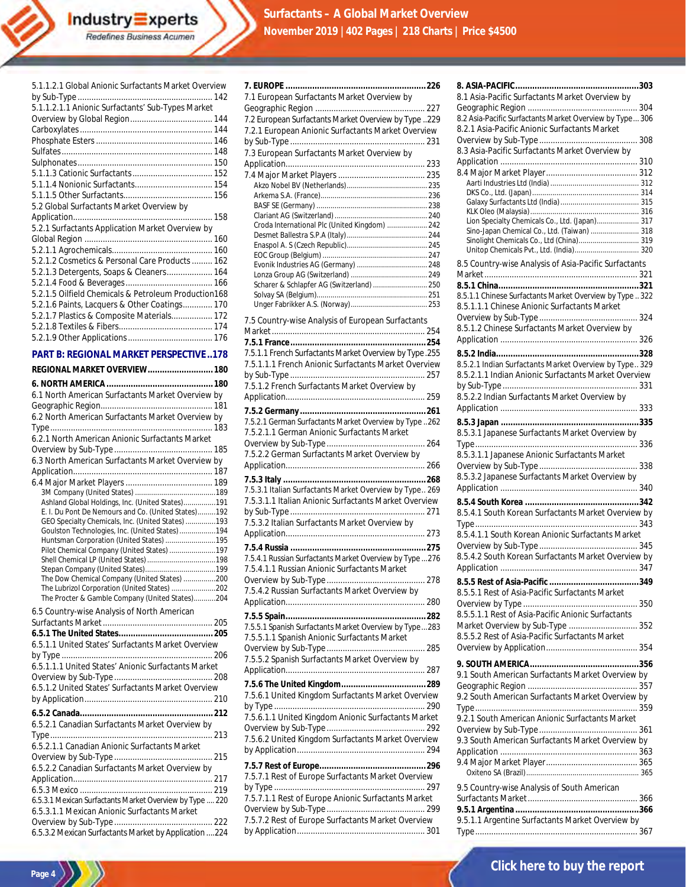|--|

**Industry Experts**<br>Redefines Business Acumen

#### **PART B: REGIONAL MARKET PERSPECTIVE ..178**

| REGIONAL MARKET OVERVIEW 180                                                                         |
|------------------------------------------------------------------------------------------------------|
|                                                                                                      |
| 6.1 North American Surfactants Market Overview by                                                    |
|                                                                                                      |
| 6.2 North American Surfactants Market Overview by                                                    |
|                                                                                                      |
| 6.2.1 North American Anionic Surfactants Market                                                      |
|                                                                                                      |
| 6.3 North American Surfactants Market Overview by                                                    |
|                                                                                                      |
|                                                                                                      |
|                                                                                                      |
| Ashland Global Holdings, Inc. (United States)191                                                     |
| E. I. Du Pont De Nemours and Co. (United States)192                                                  |
| GEO Specialty Chemicals, Inc. (United States) 193<br>Goulston Technologies, Inc. (United States) 194 |
| Huntsman Corporation (United States) 195                                                             |
| Pilot Chemical Company (United States) 197                                                           |
|                                                                                                      |
|                                                                                                      |
| The Dow Chemical Company (United States) 200                                                         |
| The Lubrizol Corporation (United States) 202<br>The Procter & Gamble Company (United States)204      |
|                                                                                                      |
| 6.5 Country-wise Analysis of North American                                                          |
|                                                                                                      |
|                                                                                                      |
| 6.5.1.1 United States' Surfactants Market Overview                                                   |
| 6.5.1.1.1 United States' Anionic Surfactants Market                                                  |
|                                                                                                      |
| 6.5.1.2 United States' Surfactants Market Overview                                                   |
|                                                                                                      |
|                                                                                                      |
|                                                                                                      |
| 6.5.2.1 Canadian Surfactants Market Overview by                                                      |
|                                                                                                      |
| 6.5.2.1.1 Canadian Anionic Surfactants Market                                                        |
|                                                                                                      |
| 6.5.2.2 Canadian Surfactants Market Overview by                                                      |
|                                                                                                      |
|                                                                                                      |
| 6.5.3.1 Mexican Surfactants Market Overview by Type  220                                             |
| 6.5.3.1.1 Mexican Anionic Surfactants Market                                                         |
|                                                                                                      |
| 6.5.3.2 Mexican Surfactants Market by Application 224                                                |

**Page 4** 

| 7.1 European Surfactants Market Overview by                            |
|------------------------------------------------------------------------|
| 7.2 European Surfactants Market Overview by Type 229                   |
| 7.2.1 European Anionic Surfactants Market Overview                     |
|                                                                        |
| 7.3 European Surfactants Market Overview by                            |
|                                                                        |
|                                                                        |
|                                                                        |
|                                                                        |
|                                                                        |
| Croda International Plc (United Kingdom)  242                          |
|                                                                        |
|                                                                        |
|                                                                        |
| Scharer & Schlapfer AG (Switzerland)  250                              |
|                                                                        |
|                                                                        |
| 7.5 Country-wise Analysis of European Surfactants                      |
|                                                                        |
|                                                                        |
| 7.5.1.1 French Surfactants Market Overview by Type.255                 |
| 7.5.1.1.1 French Anionic Surfactants Market Overview                   |
| 7.5.1.2 French Surfactants Market Overview by                          |
|                                                                        |
|                                                                        |
| 7.5.2.1 German Surfactants Market Overview by Type 262                 |
| 7.5.2.1.1 German Anionic Surfactants Market                            |
|                                                                        |
| 7.5.2.2 German Surfactants Market Overview by                          |
|                                                                        |
| 7.5.3.1 Italian Surfactants Market Overview by Type 269                |
| 7.5.3.1.1 Italian Anionic Surfactants Market Overview                  |
|                                                                        |
| 7.5.3.2 Italian Surfactants Market Overview by                         |
|                                                                        |
|                                                                        |
| 7.5.4.1 Russian Surfactants Market Overview by Type 276                |
| 7.5.4.1.1 Russian Anionic Surfactants Market<br>278                    |
| Overview by Sub-Type<br>7.5.4.2 Russian Surfactants Market Overview by |
|                                                                        |
|                                                                        |
| 7.5.5.1 Spanish Surfactants Market Overview by Type283                 |
| 7.5.5.1.1 Spanish Anionic Surfactants Market                           |
|                                                                        |
| 7.5.5.2 Spanish Surfactants Market Overview by                         |
|                                                                        |
| 7.5.6.1 United Kingdom Surfactants Market Overview                     |
|                                                                        |
| 7.5.6.1.1 United Kingdom Anionic Surfactants Market                    |
|                                                                        |
| 7.5.6.2 United Kingdom Surfactants Market Overview                     |
|                                                                        |
| 7.5.7.1 Rest of Europe Surfactants Market Overview                     |
|                                                                        |
| 7.5.7.1.1 Rest of Europe Anionic Surfactants Market                    |
|                                                                        |
| 7.5.7.2 Rest of Europe Surfactants Market Overview                     |
|                                                                        |

| 8.1 Asia-Pacific Surfactants Market Overview by                                                                                           |
|-------------------------------------------------------------------------------------------------------------------------------------------|
| 8.2 Asia-Pacific Surfactants Market Overview by Type 306<br>8.2.1 Asia-Pacific Anionic Surfactants Market                                 |
| 8.3 Asia-Pacific Surfactants Market Overview by                                                                                           |
|                                                                                                                                           |
| Lion Specialty Chemicals Co., Ltd. (Japan) 317                                                                                            |
| Sino-Japan Chemical Co., Ltd. (Taiwan)  318<br>Sinolight Chemicals Co., Ltd (China) 319<br>Unitop Chemicals Pvt., Ltd. (India) 320        |
| 8.5 Country-wise Analysis of Asia-Pacific Surfactants                                                                                     |
| 8.5.1.1 Chinese Surfactants Market Overview by Type  322<br>8.5.1.1.1 Chinese Anionic Surfactants Market                                  |
| 8.5.1.2 Chinese Surfactants Market Overview by                                                                                            |
| 8.5.2.1 Indian Surfactants Market Overview by Type 329                                                                                    |
| 8.5.2.1.1 Indian Anionic Surfactants Market Overview<br>8.5.2.2 Indian Surfactants Market Overview by                                     |
|                                                                                                                                           |
| 8.5.3.1 Japanese Surfactants Market Overview by                                                                                           |
| 8.5.3.1.1 Japanese Anionic Surfactants Market<br>8.5.3.2 Japanese Surfactants Market Overview by                                          |
| 8.5.4.1 South Korean Surfactants Market Overview by                                                                                       |
| 8.5.4.1.1 South Korean Anionic Surfactants Market<br>8.5.4.2 South Korean Surfactants Market Overview by                                  |
|                                                                                                                                           |
| 8.5.5.1 Rest of Asia-Pacific Surfactants Market                                                                                           |
| 8.5.5.1.1 Rest of Asia-Pacific Anionic Surfactants<br>Market Overview by Sub-Type  352<br>8.5.5.2 Rest of Asia-Pacific Surfactants Market |
| 9.1 South American Surfactants Market Overview by                                                                                         |
| 9.2 South American Surfactants Market Overview by                                                                                         |
| 9.2.1 South American Anionic Surfactants Market<br>9.3 South American Surfactants Market Overview by                                      |
|                                                                                                                                           |
| 9.5 Country-wise Analysis of South American                                                                                               |
| 9.5.1.1 Argentine Surfactants Market Overview by                                                                                          |